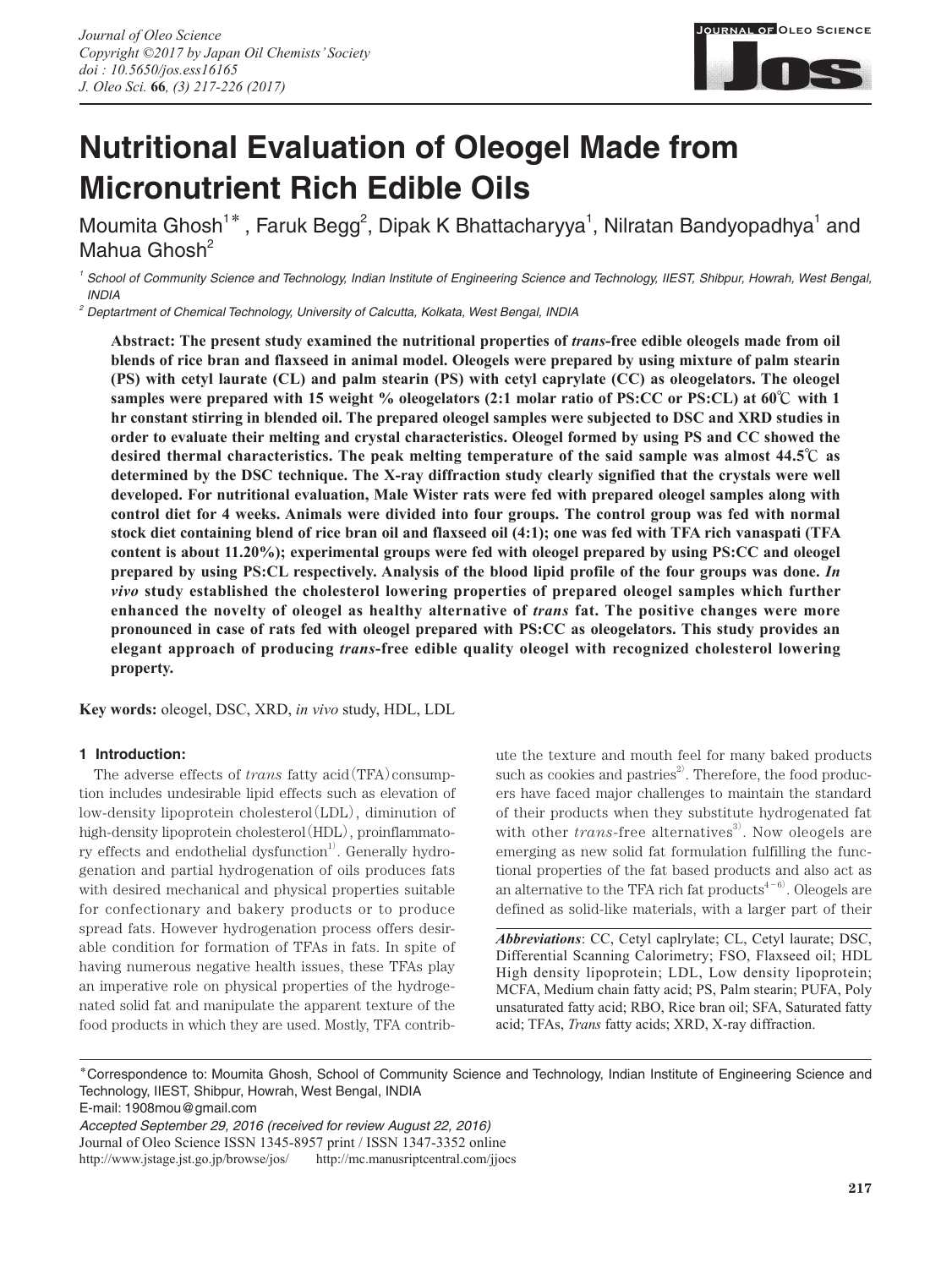

# **Nutritional Evaluation of Oleogel Made from Micronutrient Rich Edible Oils**

Moumita Ghosh<sup>1\*</sup>, Faruk Begg<sup>2</sup>, Dipak K Bhattacharyya<sup>1</sup>, Nilratan Bandyopadhya<sup>1</sup> and Mahua Ghosh<sup>2</sup>

*<sup>1</sup> School of Community Science and Technology, Indian Institute of Engineering Science and Technology, IIEST, Shibpur, Howrah, West Bengal, INDIA*

*2 Deptartment of Chemical Technology, University of Calcutta, Kolkata, West Bengal, INDIA*

**Abstract: The present study examined the nutritional properties of** *trans***-free edible oleogels made from oil blends of rice bran and flaxseed in animal model. Oleogels were prepared by using mixture of palm stearin (PS) with cetyl laurate (CL) and palm stearin (PS) with cetyl caprylate (CC) as oleogelators. The oleogel samples were prepared with 15 weight % oleogelators (2:1 molar ratio of PS:CC or PS:CL) at 60℃ with 1 hr constant stirring in blended oil. The prepared oleogel samples were subjected to DSC and XRD studies in order to evaluate their melting and crystal characteristics. Oleogel formed by using PS and CC showed the desired thermal characteristics. The peak melting temperature of the said sample was almost 44.5℃ as determined by the DSC technique. The X-ray diffraction study clearly signified that the crystals were well developed. For nutritional evaluation, Male Wister rats were fed with prepared oleogel samples along with control diet for 4 weeks. Animals were divided into four groups. The control group was fed with normal stock diet containing blend of rice bran oil and flaxseed oil (4:1); one was fed with TFA rich vanaspati (TFA content is about 11.20%); experimental groups were fed with oleogel prepared by using PS:CC and oleogel prepared by using PS:CL respectively. Analysis of the blood lipid profile of the four groups was done.** *In vivo* **study established the cholesterol lowering properties of prepared oleogel samples which further enhanced the novelty of oleogel as healthy alternative of** *trans* **fat. The positive changes were more pronounced in case of rats fed with oleogel prepared with PS:CC as oleogelators. This study provides an elegant approach of producing** *trans***-free edible quality oleogel with recognized cholesterol lowering property.**

**Key words:** oleogel, DSC, XRD, *in vivo* study, HDL, LDL

# **1 Introduction:**

The adverse effects of *trans* fatty acid(TFA)consumption includes undesirable lipid effects such as elevation of low-density lipoprotein cholesterol(LDL), diminution of high-density lipoprotein cholesterol (HDL), proinflammatory effects and endothelial dysfunction $^{1)}$ . Generally hydrogenation and partial hydrogenation of oils produces fats with desired mechanical and physical properties suitable for confectionary and bakery products or to produce spread fats. However hydrogenation process offers desirable condition for formation of TFAs in fats. In spite of having numerous negative health issues, these TFAs play an imperative role on physical properties of the hydrogenated solid fat and manipulate the apparent texture of the food products in which they are used. Mostly, TFA contribute the texture and mouth feel for many baked products such as cookies and pastries $^{2)}$ . Therefore, the food producers have faced major challenges to maintain the standard of their products when they substitute hydrogenated fat with other  $trans$ -free alternatives<sup>3)</sup>. Now oleogels are emerging as new solid fat formulation fulfilling the functional properties of the fat based products and also act as an alternative to the TFA rich fat  $\text{products}^{4-6}$ . Oleogels are defined as solid-like materials, with a larger part of their

*Abbreviations*: CC, Cetyl caplrylate; CL, Cetyl laurate; DSC, Differential Scanning Calorimetry; FSO, Flaxseed oil; HDL High density lipoprotein; LDL, Low density lipoprotein; MCFA, Medium chain fatty acid; PS, Palm stearin; PUFA, Poly unsaturated fatty acid; RBO, Rice bran oil; SFA, Saturated fatty acid; TFAs, *Trans* fatty acids; XRD, X-ray diffraction.

**\***Correspondence to: Moumita Ghosh, School of Community Science and Technology, Indian Institute of Engineering Science and Technology, IIEST, Shibpur, Howrah, West Bengal, INDIA

E-mail: 1908mou@gmail.com

*Accepted September 29, 2016 (received for review August 22, 2016)*

Journal of Oleo Science ISSN 1345-8957 print / ISSN 1347-3352 online

http://www.jstage.jst.go.jp/browse/jos/ http://mc.manusriptcentral.com/jjocs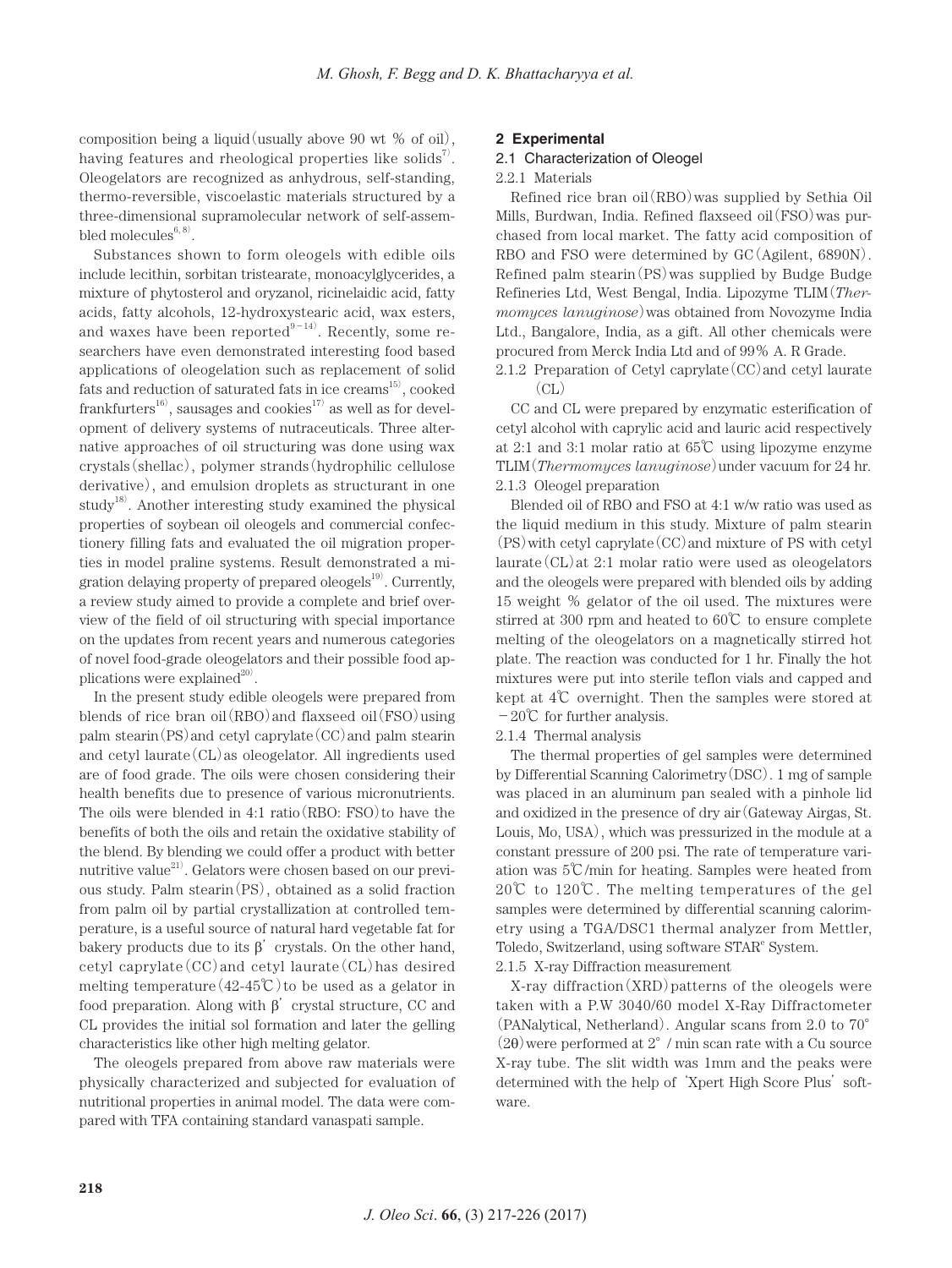composition being a liquid (usually above 90 wt  $\%$  of oil). having features and rheological properties like solids $\binom{7}{2}$ . Oleogelators are recognized as anhydrous, self-standing, thermo-reversible, viscoelastic materials structured by a three-dimensional supramolecular network of self-assembled molecules $^{6, 8)}$ .

Substances shown to form oleogels with edible oils include lecithin, sorbitan tristearate, monoacylglycerides, a mixture of phytosterol and oryzanol, ricinelaidic acid, fatty acids, fatty alcohols, 12-hydroxystearic acid, wax esters, and waxes have been reported $^{9-14)}$ . Recently, some researchers have even demonstrated interesting food based applications of oleogelation such as replacement of solid fats and reduction of saturated fats in ice  $c$ reams<sup>15</sup>, cooked frankfurters $^{16)}$ , sausages and cookies $^{17)}$  as well as for development of delivery systems of nutraceuticals. Three alternative approaches of oil structuring was done using wax crystals(shellac), polymer strands(hydrophilic cellulose derivative), and emulsion droplets as structurant in one study<sup>18)</sup>. Another interesting study examined the physical properties of soybean oil oleogels and commercial confectionery filling fats and evaluated the oil migration properties in model praline systems. Result demonstrated a migration delaying property of prepared oleogels $^{19}$ . Currently, a review study aimed to provide a complete and brief overview of the field of oil structuring with special importance on the updates from recent years and numerous categories of novel food-grade oleogelators and their possible food applications were explained $^{20)}$ .

In the present study edible oleogels were prepared from blends of rice bran oil $(RBO)$  and flaxseed oil $(FSO)$  using palm stearin(PS)and cetyl caprylate(CC)and palm stearin and cetyl laurate(CL)as oleogelator. All ingredients used are of food grade. The oils were chosen considering their health benefits due to presence of various micronutrients. The oils were blended in 4:1 ratio(RBO: FSO)to have the benefits of both the oils and retain the oxidative stability of the blend. By blending we could offer a product with better nutritive value<sup>21)</sup>. Gelators were chosen based on our previous study. Palm stearin(PS), obtained as a solid fraction from palm oil by partial crystallization at controlled temperature, is a useful source of natural hard vegetable fat for bakery products due to its  $\beta'$  crystals. On the other hand, cetyl caprylate(CC)and cetyl laurate(CL)has desired melting temperature  $(42-45\degree\text{C})$  to be used as a gelator in food preparation. Along with β' crystal structure, CC and CL provides the initial sol formation and later the gelling characteristics like other high melting gelator.

The oleogels prepared from above raw materials were physically characterized and subjected for evaluation of nutritional properties in animal model. The data were compared with TFA containing standard vanaspati sample.

#### **2 Experimental**

#### 2.1 Characterization of Oleogel

#### 2.2.1 Materials

Refined rice bran oil(RBO)was supplied by Sethia Oil Mills, Burdwan, India. Refined flaxseed oil(FSO)was purchased from local market. The fatty acid composition of RBO and FSO were determined by GC(Agilent, 6890N). Refined palm stearin(PS)was supplied by Budge Budge Refineries Ltd, West Bengal, India. Lipozyme TLIM(*Thermomyces lanuginose*)was obtained from Novozyme India Ltd., Bangalore, India, as a gift. All other chemicals were procured from Merck India Ltd and of 99% A. R Grade.

2.1.2 Preparation of Cetyl caprylate(CC)and cetyl laurate  $CL)$ 

CC and CL were prepared by enzymatic esterification of cetyl alcohol with caprylic acid and lauric acid respectively at 2:1 and 3:1 molar ratio at 65℃ using lipozyme enzyme TLIM(*Thermomyces lanuginose*)under vacuum for 24 hr. 2.1.3 Oleogel preparation

Blended oil of RBO and FSO at 4:1 w/w ratio was used as the liquid medium in this study. Mixture of palm stearin  $(PS)$  with cetyl caprylate  $(CC)$  and mixture of PS with cetyl laurate  $CL$ ) at 2:1 molar ratio were used as oleogelators and the oleogels were prepared with blended oils by adding 15 weight % gelator of the oil used. The mixtures were stirred at 300 rpm and heated to 60℃ to ensure complete melting of the oleogelators on a magnetically stirred hot plate. The reaction was conducted for 1 hr. Finally the hot mixtures were put into sterile teflon vials and capped and kept at 4℃ overnight. Then the samples were stored at  $-20^{\circ}$  for further analysis.

2.1.4 Thermal analysis

The thermal properties of gel samples were determined by Differential Scanning Calorimetry(DSC). 1 mg of sample was placed in an aluminum pan sealed with a pinhole lid and oxidized in the presence of dry air(Gateway Airgas, St. Louis, Mo, USA), which was pressurized in the module at a constant pressure of 200 psi. The rate of temperature variation was 5℃/min for heating. Samples were heated from 20℃ to 120℃. The melting temperatures of the gel samples were determined by differential scanning calorimetry using a TGA/DSC1 thermal analyzer from Mettler, Toledo, Switzerland, using software STAR<sup>e</sup> System. 2.1.5 X-ray Diffraction measurement

X-ray diffraction(XRD)patterns of the oleogels were taken with a P.W 3040/60 model X-Ray Diffractometer (PANalytical, Netherland). Angular scans from 2.0 to 70°  $(2\theta)$  were performed at  $2^{\circ}$  / min scan rate with a Cu source X-ray tube. The slit width was 1mm and the peaks were determined with the help of 'Xpert High Score Plus' software.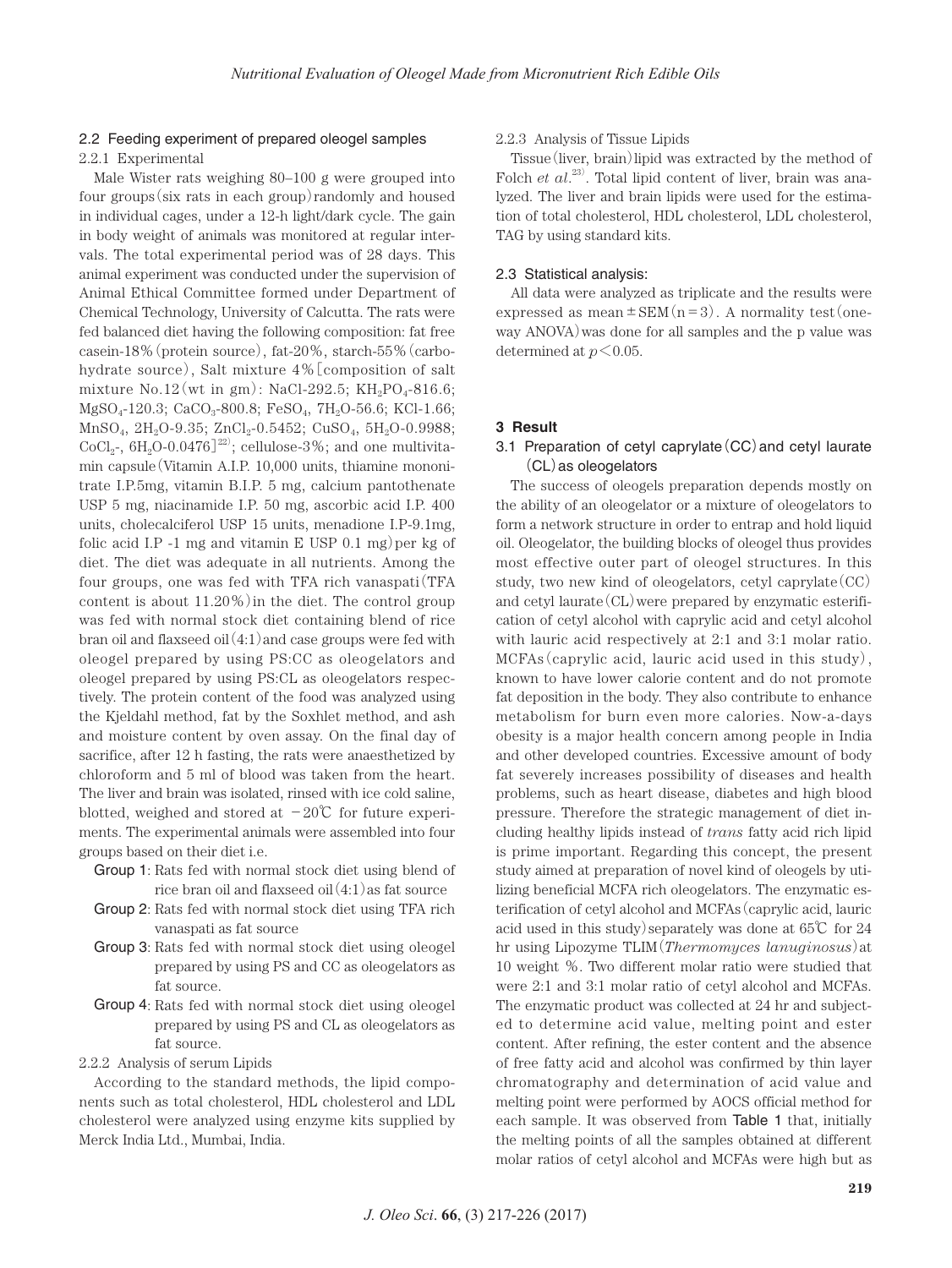#### 2.2 Feeding experiment of prepared oleogel samples

# 2.2.1 Experimental

Male Wister rats weighing 80–100 g were grouped into four groups(six rats in each group)randomly and housed in individual cages, under a 12-h light/dark cycle. The gain in body weight of animals was monitored at regular intervals. The total experimental period was of 28 days. This animal experiment was conducted under the supervision of Animal Ethical Committee formed under Department of Chemical Technology, University of Calcutta. The rats were fed balanced diet having the following composition: fat free casein-18%(protein source), fat-20%, starch-55%(carbohydrate source), Salt mixture 4%[composition of salt mixture No.12(wt in gm): NaCl-292.5; KH<sub>2</sub>PO<sub>4</sub>-816.6; MgSO<sub>4</sub>-120.3; CaCO<sub>3</sub>-800.8; FeSO<sub>4</sub>, 7H<sub>2</sub>O-56.6; KCl-1.66; MnSO<sub>4</sub>, 2H<sub>2</sub>O-9.35; ZnCl<sub>2</sub>-0.5452; CuSO<sub>4</sub>, 5H<sub>2</sub>O-0.9988; CoCl<sub>2</sub>-,  $6H_2O-0.0476$ <sup>[22]</sup>; cellulose-3%; and one multivitamin capsule(Vitamin A.I.P. 10,000 units, thiamine mononitrate I.P.5mg, vitamin B.I.P. 5 mg, calcium pantothenate USP 5 mg, niacinamide I.P. 50 mg, ascorbic acid I.P. 400 units, cholecalciferol USP 15 units, menadione I.P-9.1mg, folic acid I.P -1 mg and vitamin E USP  $(0.1 \text{ mg})$  per kg of diet. The diet was adequate in all nutrients. Among the four groups, one was fed with TFA rich vanaspati(TFA content is about  $11.20\%$ ) in the diet. The control group was fed with normal stock diet containing blend of rice bran oil and flaxseed oil $(4:1)$  and case groups were fed with oleogel prepared by using PS:CC as oleogelators and oleogel prepared by using PS:CL as oleogelators respectively. The protein content of the food was analyzed using the Kjeldahl method, fat by the Soxhlet method, and ash and moisture content by oven assay. On the final day of sacrifice, after 12 h fasting, the rats were anaesthetized by chloroform and 5 ml of blood was taken from the heart. The liver and brain was isolated, rinsed with ice cold saline, blotted, weighed and stored at  $-20^{\circ}$  for future experiments. The experimental animals were assembled into four groups based on their diet i.e.

- Group 1: Rats fed with normal stock diet using blend of rice bran oil and flaxseed oil $(4:1)$ as fat source
- Group 2: Rats fed with normal stock diet using TFA rich vanaspati as fat source
- Group 3: Rats fed with normal stock diet using oleogel prepared by using PS and CC as oleogelators as fat source.
- Group 4: Rats fed with normal stock diet using oleogel prepared by using PS and CL as oleogelators as fat source.

#### 2.2.2 Analysis of serum Lipids

According to the standard methods, the lipid components such as total cholesterol, HDL cholesterol and LDL cholesterol were analyzed using enzyme kits supplied by Merck India Ltd., Mumbai, India.

#### 2.2.3 Analysis of Tissue Lipids

Tissue(liver, brain)lipid was extracted by the method of Folch *et al.*<sup>23</sup>. Total lipid content of liver, brain was analyzed. The liver and brain lipids were used for the estimation of total cholesterol, HDL cholesterol, LDL cholesterol, TAG by using standard kits.

#### 2.3 Statistical analysis:

All data were analyzed as triplicate and the results were expressed as mean  $\pm$  SEM(n=3). A normality test(oneway ANOVA)was done for all samples and the p value was determined at  $p < 0.05$ .

#### **3 Result**

# 3.1 Preparation of cetyl caprylate(CC)and cetyl laurate (CL)as oleogelators

The success of oleogels preparation depends mostly on the ability of an oleogelator or a mixture of oleogelators to form a network structure in order to entrap and hold liquid oil. Oleogelator, the building blocks of oleogel thus provides most effective outer part of oleogel structures. In this study, two new kind of oleogelators, cetyl caprylate(CC) and cetyl laurate  $(CL)$  were prepared by enzymatic esterification of cetyl alcohol with caprylic acid and cetyl alcohol with lauric acid respectively at 2:1 and 3:1 molar ratio. MCFAs(caprylic acid, lauric acid used in this study), known to have lower calorie content and do not promote fat deposition in the body. They also contribute to enhance metabolism for burn even more calories. Now-a-days obesity is a major health concern among people in India and other developed countries. Excessive amount of body fat severely increases possibility of diseases and health problems, such as heart disease, diabetes and high blood pressure. Therefore the strategic management of diet including healthy lipids instead of *trans* fatty acid rich lipid is prime important. Regarding this concept, the present study aimed at preparation of novel kind of oleogels by utilizing beneficial MCFA rich oleogelators. The enzymatic esterification of cetyl alcohol and MCFAs(caprylic acid, lauric acid used in this study) separately was done at  $65\degree$  for 24 hr using Lipozyme TLIM(*Thermomyces lanuginosus*)at 10 weight %. Two different molar ratio were studied that were 2:1 and 3:1 molar ratio of cetyl alcohol and MCFAs. The enzymatic product was collected at 24 hr and subjected to determine acid value, melting point and ester content. After refining, the ester content and the absence of free fatty acid and alcohol was confirmed by thin layer chromatography and determination of acid value and melting point were performed by AOCS official method for each sample. It was observed from Table 1 that, initially the melting points of all the samples obtained at different molar ratios of cetyl alcohol and MCFAs were high but as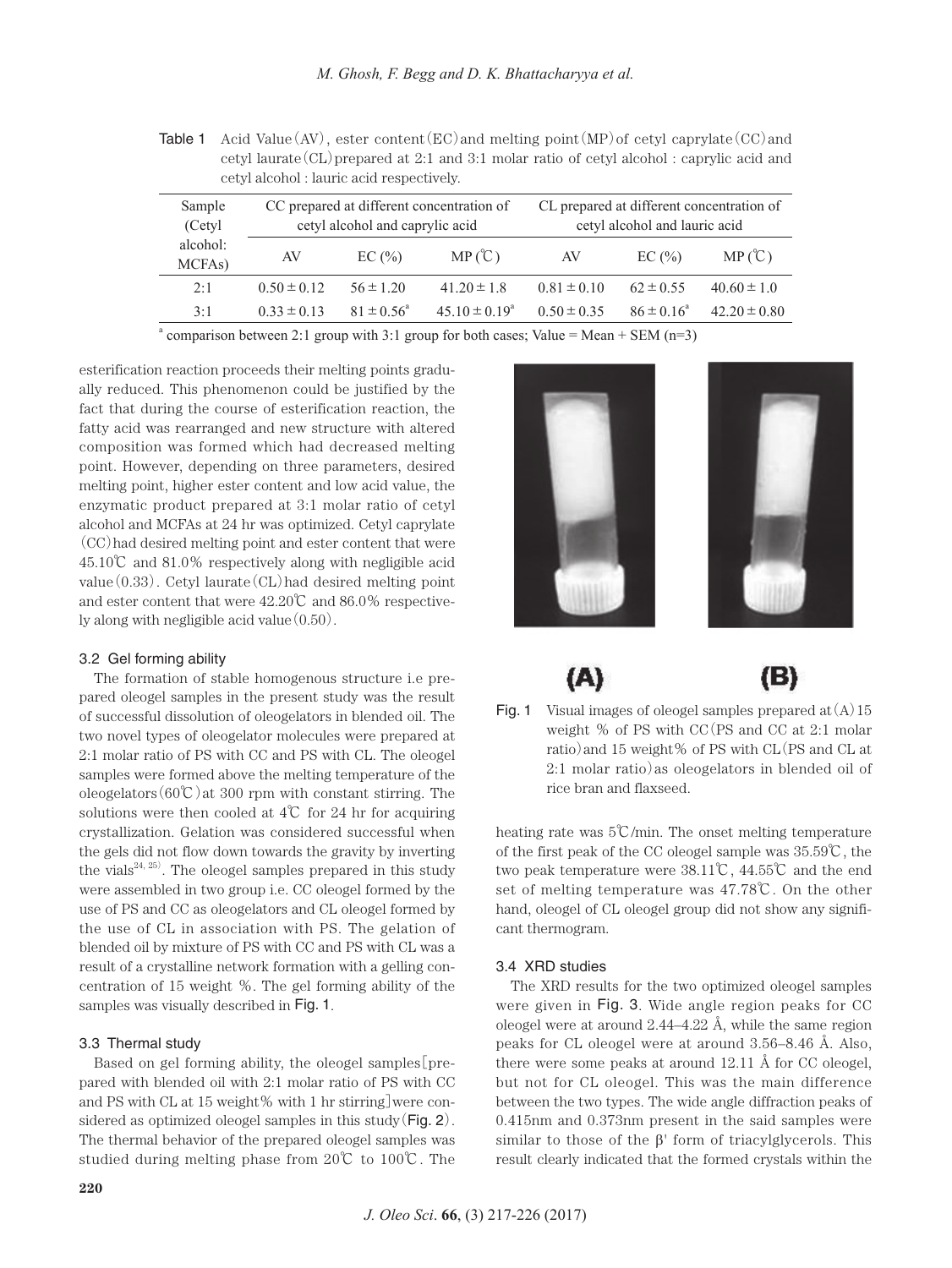| Sample<br>(Cetyl)               | CC prepared at different concentration of<br>cetyl alcohol and caprylic acid |                       |                          | CL prepared at different concentration of<br>cetyl alcohol and lauric acid |                       |                  |
|---------------------------------|------------------------------------------------------------------------------|-----------------------|--------------------------|----------------------------------------------------------------------------|-----------------------|------------------|
| alcohol:<br>MCFA <sub>s</sub> ) | AV                                                                           | EC(%)                 | MP(C)                    | AV                                                                         | EC(%)                 | MP(C)            |
| 2:1                             | $0.50 \pm 0.12$                                                              | $56 \pm 120$          | $41.20 \pm 1.8$          | $0.81 \pm 0.10$                                                            | $62 \pm 0.55$         | $40.60 \pm 1.0$  |
| 3:1                             | $0.33 \pm 0.13$                                                              | $81 \pm 0.56^{\circ}$ | $45.10 \pm 0.19^{\circ}$ | $0.50 \pm 0.35$                                                            | $86 \pm 0.16^{\circ}$ | $42.20 \pm 0.80$ |
|                                 |                                                                              |                       |                          |                                                                            |                       |                  |

**Table 1** Acid Value (AV), ester content (EC) and melting point (MP) of cetyl caprylate (CC) and cetyl laurate(CL)prepared at 2:1 and 3:1 molar ratio of cetyl alcohol : caprylic acid and cetyl alcohol : lauric acid respectively.

<sup>a</sup> comparison between 2:1 group with 3:1 group for both cases; Value = Mean + SEM (n=3)

esterification reaction proceeds their melting points gradually reduced. This phenomenon could be justified by the fact that during the course of esterification reaction, the fatty acid was rearranged and new structure with altered composition was formed which had decreased melting point. However, depending on three parameters, desired melting point, higher ester content and low acid value, the enzymatic product prepared at 3:1 molar ratio of cetyl alcohol and MCFAs at 24 hr was optimized. Cetyl caprylate (CC)had desired melting point and ester content that were 45.10℃ and 81.0% respectively along with negligible acid value(0.33). Cetyl laurate(CL)had desired melting point and ester content that were 42.20℃ and 86.0% respectively along with negligible acid value $(0.50)$ .

# 3.2 Gel forming ability

The formation of stable homogenous structure i.e prepared oleogel samples in the present study was the result of successful dissolution of oleogelators in blended oil. The two novel types of oleogelator molecules were prepared at 2:1 molar ratio of PS with CC and PS with CL. The oleogel samples were formed above the melting temperature of the oleogelators  $(60\degree C)$  at 300 rpm with constant stirring. The solutions were then cooled at  $4^{\circ}$  for 24 hr for acquiring crystallization. Gelation was considered successful when the gels did not flow down towards the gravity by inverting the vials<sup>24, 25</sup>). The oleogel samples prepared in this study were assembled in two group i.e. CC oleogel formed by the use of PS and CC as oleogelators and CL oleogel formed by the use of CL in association with PS. The gelation of blended oil by mixture of PS with CC and PS with CL was a result of a crystalline network formation with a gelling concentration of 15 weight %. The gel forming ability of the samples was visually described in Fig. 1.

#### 3.3 Thermal study

Based on gel forming ability, the oleogel samples[prepared with blended oil with 2:1 molar ratio of PS with CC and PS with CL at 15 weight% with 1 hr stirring]were considered as optimized oleogel samples in this study  $(Fig. 2)$ . The thermal behavior of the prepared oleogel samples was studied during melting phase from 20℃ to 100℃. The



# $(A)$ (B)

**Fig. 1** Visual images of oleogel samples prepared at  $(A)$  15 weight % of PS with CC(PS and CC at 2:1 molar ratio)and 15 weight% of PS with CL(PS and CL at 2:1 molar ratio)as oleogelators in blended oil of rice bran and flaxseed.

heating rate was 5℃/min. The onset melting temperature of the first peak of the CC oleogel sample was 35.59℃, the two peak temperature were 38.11℃, 44.55℃ and the end set of melting temperature was 47.78℃. On the other hand, oleogel of CL oleogel group did not show any significant thermogram.

#### 3.4 XRD studies

The XRD results for the two optimized oleogel samples were given in Fig. 3. Wide angle region peaks for CC oleogel were at around 2.44–4.22 Å, while the same region peaks for CL oleogel were at around 3.56–8.46 Å. Also, there were some peaks at around 12.11 Å for CC oleogel, but not for CL oleogel. This was the main difference between the two types. The wide angle diffraction peaks of 0.415nm and 0.373nm present in the said samples were similar to those of the β' form of triacylglycerols. This result clearly indicated that the formed crystals within the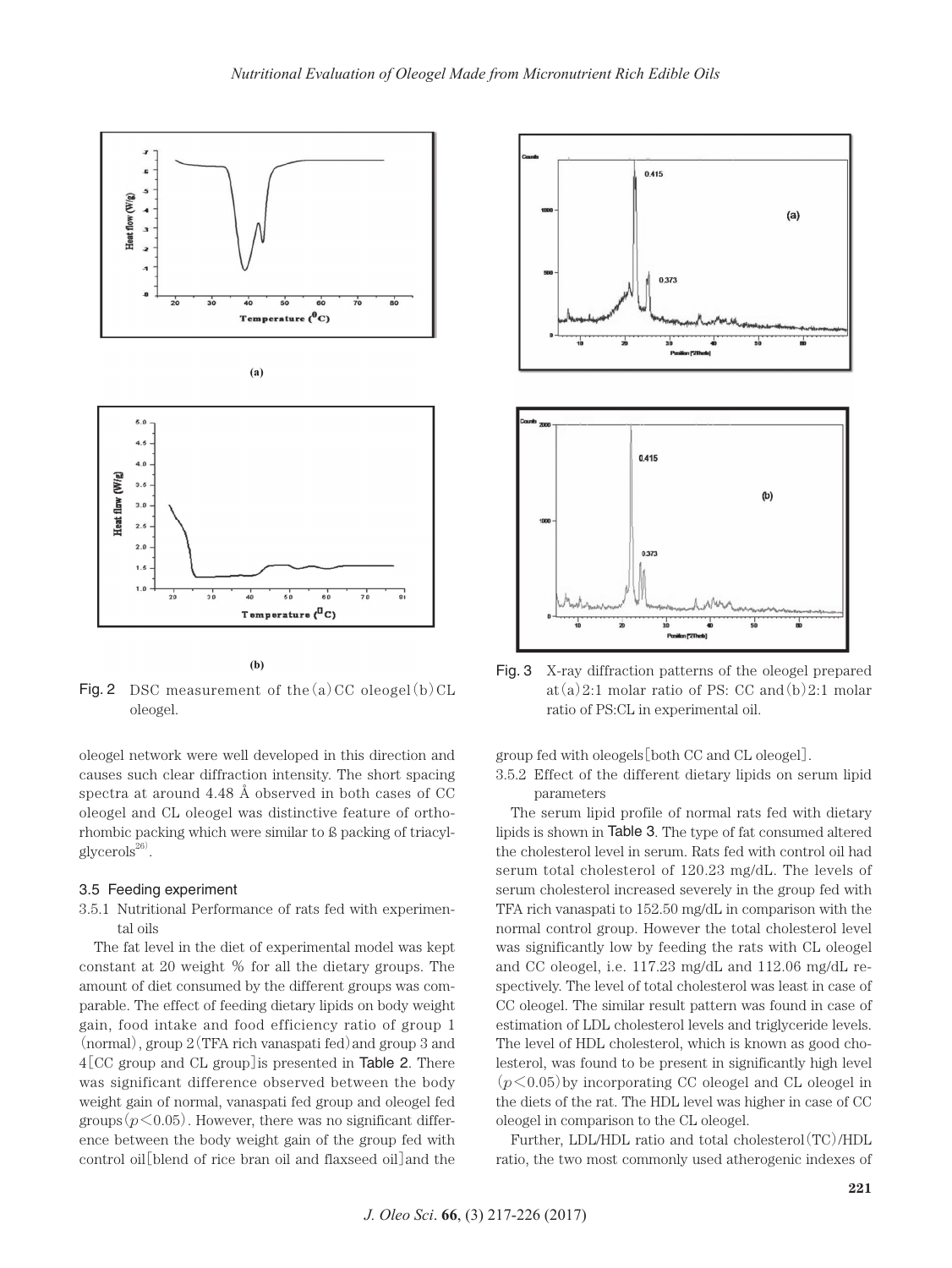





 $(b)$ 

Fig. 2 DSC measurement of the  $(a)$  CC oleogel $(b)$  CL oleogel.

oleogel network were well developed in this direction and causes such clear diffraction intensity. The short spacing spectra at around 4.48 Å observed in both cases of CC oleogel and CL oleogel was distinctive feature of orthorhombic packing which were similar to ß packing of triacylglycerols $^{26)}$ .

# 3.5 Feeding experiment

# 3.5.1 Nutritional Performance of rats fed with experimental oils

The fat level in the diet of experimental model was kept constant at 20 weight % for all the dietary groups. The amount of diet consumed by the different groups was comparable. The effect of feeding dietary lipids on body weight gain, food intake and food efficiency ratio of group 1 (normal), group 2(TFA rich vanaspati fed)and group 3 and 4[CC group and CL group]is presented in Table 2. There was significant difference observed between the body weight gain of normal, vanaspati fed group and oleogel fed groups $(p<0.05)$ . However, there was no significant difference between the body weight gain of the group fed with control oil[blend of rice bran oil and flaxseed oil]and the



Fig. 3 X-ray diffraction patterns of the oleogel prepared at(a)2:1 molar ratio of PS: CC and(b)2:1 molar ratio of PS:CL in experimental oil.

group fed with oleogels[both CC and CL oleogel].

3.5.2 Effect of the different dietary lipids on serum lipid parameters

The serum lipid profile of normal rats fed with dietary lipids is shown in Table 3. The type of fat consumed altered the cholesterol level in serum. Rats fed with control oil had serum total cholesterol of 120.23 mg/dL. The levels of serum cholesterol increased severely in the group fed with TFA rich vanaspati to 152.50 mg/dL in comparison with the normal control group. However the total cholesterol level was significantly low by feeding the rats with CL oleogel and CC oleogel, i.e. 117.23 mg/dL and 112.06 mg/dL respectively. The level of total cholesterol was least in case of CC oleogel. The similar result pattern was found in case of estimation of LDL cholesterol levels and triglyceride levels. The level of HDL cholesterol, which is known as good cholesterol, was found to be present in significantly high level  $(p<0.05)$  by incorporating CC oleogel and CL oleogel in the diets of the rat. The HDL level was higher in case of CC oleogel in comparison to the CL oleogel.

Further, LDL/HDL ratio and total cholesterol(TC)/HDL ratio, the two most commonly used atherogenic indexes of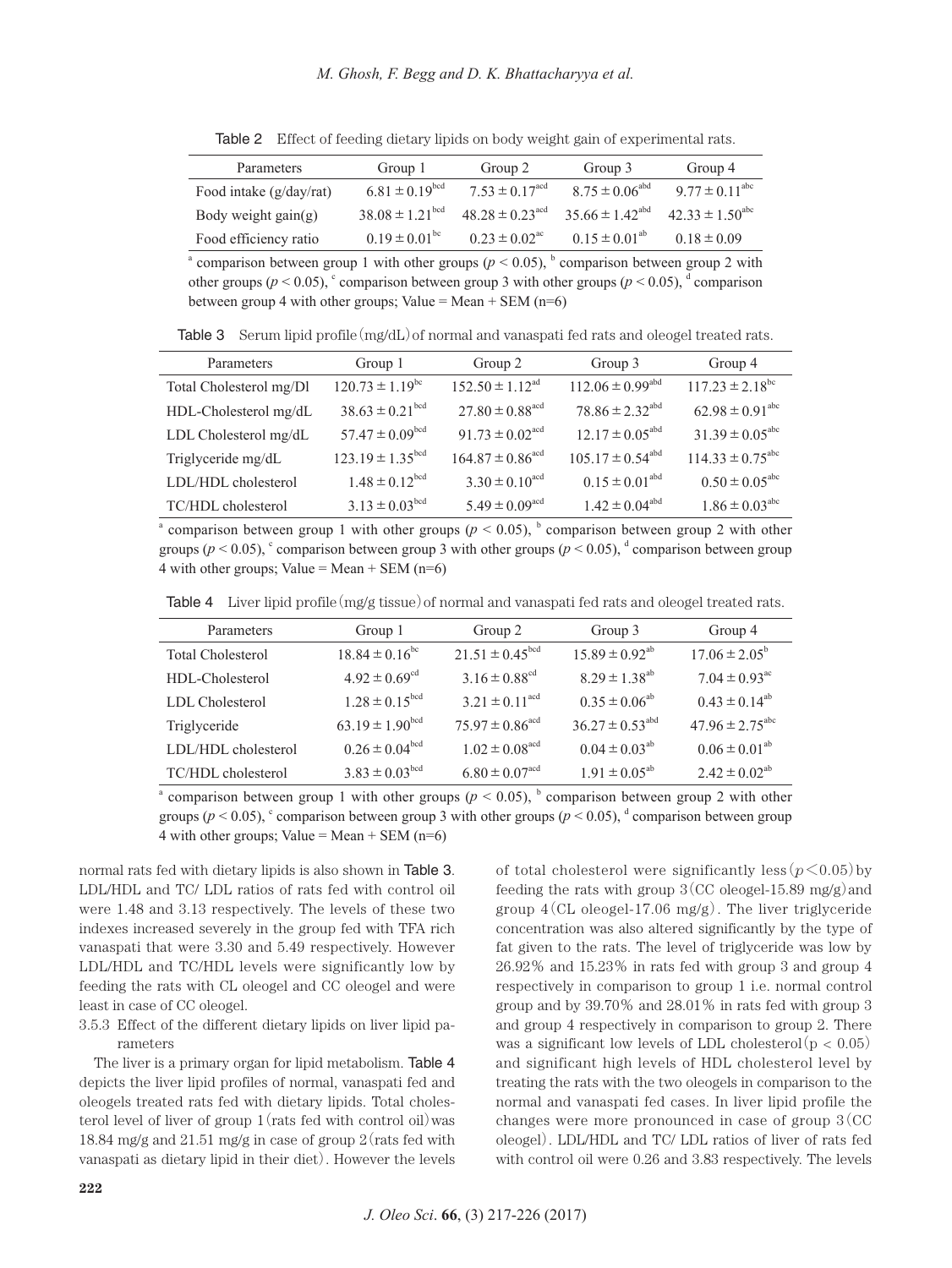Table 2 Effect of feeding dietary lipids on body weight gain of experimental rats.

| Parameters              | Group 1                         | Group 2                         | Group 3                         | Group 4                         |
|-------------------------|---------------------------------|---------------------------------|---------------------------------|---------------------------------|
| Food intake (g/day/rat) | $6.81 \pm 0.19^{bcd}$           | $7.53 \pm 0.17^{\text{acd}}$    | $8.75 \pm 0.06^{\text{abd}}$    | $9.77 \pm 0.11^{\text{abc}}$    |
| Body weight gain(g)     | $38.08 \pm 1.21$ <sup>bcd</sup> | $48.28 \pm 0.23$ <sup>acd</sup> | $35.66 \pm 1.42$ <sup>abd</sup> | 42.33 $\pm$ 1.50 <sup>abc</sup> |
| Food efficiency ratio   | $0.19 \pm 0.01^{bc}$            | $0.23 \pm 0.02$ <sup>ac</sup>   | $0.15 \pm 0.01^{ab}$            | $0.18 \pm 0.09$                 |

<sup>a</sup> comparison between group 1 with other groups ( $p < 0.05$ ), <sup>b</sup> comparison between group 2 with other groups ( $p < 0.05$ ), comparison between group 3 with other groups ( $p < 0.05$ ), decomparison between group 4 with other groups; Value = Mean + SEM  $(n=6)$ 

Table 3 Serum lipid profile (mg/dL) of normal and vanaspati fed rats and oleogel treated rats.

| Parameters              | Group 1                         | Group 2                          | Group 3                          | Group 4                         |
|-------------------------|---------------------------------|----------------------------------|----------------------------------|---------------------------------|
| Total Cholesterol mg/Dl | $120.73 \pm 1.19$ <sup>bc</sup> | $152.50 \pm 1.12$ <sup>ad</sup>  | $112.06 \pm 0.99$ <sup>abd</sup> | $117.23 \pm 2.18^{\rm bc}$      |
| HDL-Cholesterol mg/dL   | $38.63 \pm 0.21$ <sup>bcd</sup> | $27.80 \pm 0.88$ <sup>acd</sup>  | $78.86 \pm 2.32$ <sup>abd</sup>  | $62.98 \pm 0.91$ <sup>abc</sup> |
| LDL Cholesterol mg/dL   | $57.47 \pm 0.09$ <sup>bcd</sup> | $91.73 \pm 0.02$ <sup>acd</sup>  | $12.17 \pm 0.05$ <sup>abd</sup>  | $31.39 \pm 0.05^{\text{abc}}$   |
| Triglyceride mg/dL      | $123.19 \pm 1.35^{\text{bed}}$  | $164.87 \pm 0.86$ <sup>acd</sup> | $105.17 \pm 0.54$ <sup>abd</sup> | $114.33 \pm 0.75^{\text{abc}}$  |
| LDL/HDL cholesterol     | $1.48 \pm 0.12^{bcd}$           | $3.30 \pm 0.10^{\text{acd}}$     | $0.15 \pm 0.01^{\text{abd}}$     | $0.50 \pm 0.05^{\text{abc}}$    |
| TC/HDL cholesterol      | $3.13 \pm 0.03$ <sup>bcd</sup>  | $5.49 \pm 0.09$ <sup>acd</sup>   | $1.42 \pm 0.04$ <sup>abd</sup>   | $1.86 \pm 0.03$ <sup>abc</sup>  |

<sup>a</sup> comparison between group 1 with other groups ( $p < 0.05$ ), <sup>b</sup> comparison between group 2 with other groups ( $p < 0.05$ ),  $\text{°}$  comparison between group 3 with other groups ( $p < 0.05$ ),  $\text{°}$  comparison between group 4 with other groups; Value = Mean + SEM  $(n=6)$ 

Table 4 Liver lipid profile (mg/g tissue) of normal and vanaspati fed rats and oleogel treated rats.

| Parameters               | Group 1                         | Group 2                        | Group 3                         | Group 4                         |
|--------------------------|---------------------------------|--------------------------------|---------------------------------|---------------------------------|
| <b>Total Cholesterol</b> | $18.84 \pm 0.16^{\circ}$        | $21.51 \pm 0.45^{\text{bed}}$  | $15.89 \pm 0.92^{ab}$           | $17.06 \pm 2.05^{\circ}$        |
| HDL-Cholesterol          | $4.92 \pm 0.69^{\text{cd}}$     | $3.16 \pm 0.88$ <sup>cd</sup>  | $8.29 \pm 1.38^{ab}$            | $7.04 \pm 0.93$ <sup>ac</sup>   |
| LDL Cholesterol          | $1.28 \pm 0.15^{bcd}$           | $3.21 \pm 0.11^{\text{acd}}$   | $0.35 \pm 0.06^{\text{ab}}$     | $0.43 \pm 0.14^{ab}$            |
| Triglyceride             | $63.19 \pm 1.90$ <sup>bcd</sup> | $75.97 \pm 0.86^{\text{acd}}$  | $36.27 \pm 0.53$ <sup>abd</sup> | $47.96 \pm 2.75$ <sup>abc</sup> |
| LDL/HDL cholesterol      | $0.26 \pm 0.04^{bcd}$           | $1.02 \pm 0.08$ <sup>acd</sup> | $0.04 \pm 0.03^{ab}$            | $0.06 \pm 0.01^{ab}$            |
| TC/HDL cholesterol       | $3.83 \pm 0.03$ <sup>bcd</sup>  | $6.80 \pm 0.07$ <sup>acd</sup> | $1.91 \pm 0.05^{ab}$            | $2.42 \pm 0.02^{ab}$            |

<sup>a</sup> comparison between group 1 with other groups ( $p < 0.05$ ), <sup>b</sup> comparison between group 2 with other groups ( $p < 0.05$ ), comparison between group 3 with other groups ( $p < 0.05$ ), <sup>d</sup> comparison between group 4 with other groups; Value = Mean + SEM  $(n=6)$ 

normal rats fed with dietary lipids is also shown in Table 3. LDL/HDL and TC/ LDL ratios of rats fed with control oil were 1.48 and 3.13 respectively. The levels of these two indexes increased severely in the group fed with TFA rich vanaspati that were 3.30 and 5.49 respectively. However LDL/HDL and TC/HDL levels were significantly low by feeding the rats with CL oleogel and CC oleogel and were least in case of CC oleogel.

# 3.5.3 Effect of the different dietary lipids on liver lipid parameters

The liver is a primary organ for lipid metabolism. Table 4 depicts the liver lipid profiles of normal, vanaspati fed and oleogels treated rats fed with dietary lipids. Total cholesterol level of liver of group  $1$  (rats fed with control oil) was 18.84 mg/g and 21.51 mg/g in case of group  $2$  (rats fed with vanaspati as dietary lipid in their diet). However the levels of total cholesterol were significantly less $(p<0.05)$  by feeding the rats with group  $3$  (CC oleogel-15.89 mg/g) and group  $4$  (CL oleogel-17.06 mg/g). The liver triglyceride concentration was also altered significantly by the type of fat given to the rats. The level of triglyceride was low by 26.92% and 15.23% in rats fed with group 3 and group 4 respectively in comparison to group 1 i.e. normal control group and by 39.70% and 28.01% in rats fed with group 3 and group 4 respectively in comparison to group 2. There was a significant low levels of LDL cholesterol( $p < 0.05$ ) and significant high levels of HDL cholesterol level by treating the rats with the two oleogels in comparison to the normal and vanaspati fed cases. In liver lipid profile the changes were more pronounced in case of group 3(CC oleogel). LDL/HDL and TC/ LDL ratios of liver of rats fed with control oil were 0.26 and 3.83 respectively. The levels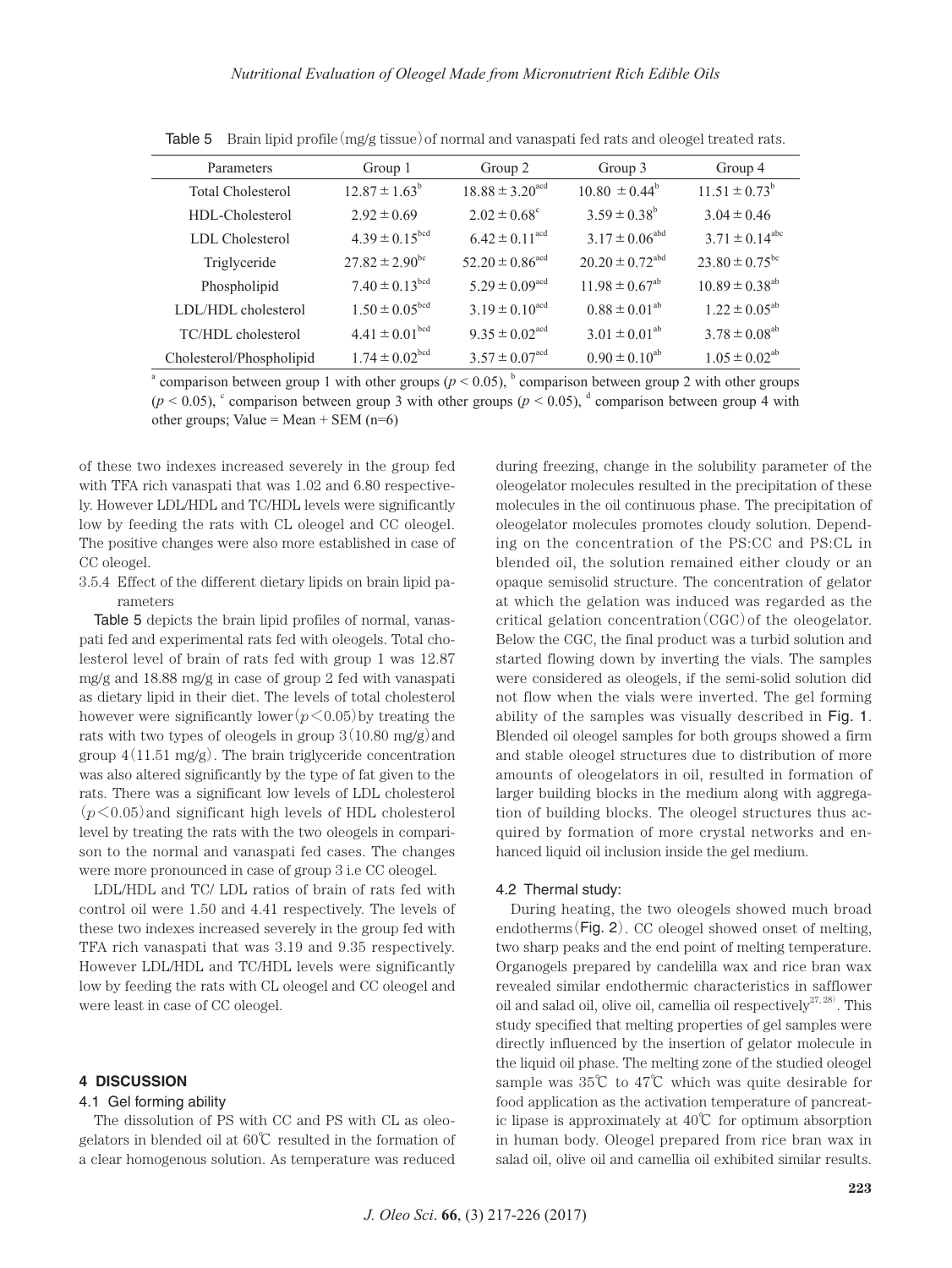| Parameters               | Group 1                   | Group 2                         | Group 3                         | Group 4                        |
|--------------------------|---------------------------|---------------------------------|---------------------------------|--------------------------------|
| <b>Total Cholesterol</b> | $12.87 \pm 1.63^{\circ}$  | $18.88 \pm 3.20$ <sup>acd</sup> | $10.80 \pm 0.44^{\circ}$        | $11.51 \pm 0.73^{\circ}$       |
| HDL-Cholesterol          | $2.92 \pm 0.69$           | $2.02 \pm 0.68^{\circ}$         | $3.59 \pm 0.38^{\circ}$         | $3.04 \pm 0.46$                |
| LDL Cholesterol          | $4.39 \pm 0.15^{bcd}$     | $6.42 \pm 0.11^{\text{acd}}$    | $3.17 \pm 0.06^{\text{abd}}$    | $3.71 \pm 0.14^{\text{abc}}$   |
| Triglyceride             | $27.82 \pm 2.90^{\rm bc}$ | $52.20 \pm 0.86^{\text{acd}}$   | $20.20 \pm 0.72$ <sup>abd</sup> | $23.80 \pm 0.75^{\rm bc}$      |
| Phospholipid             | $7.40 \pm 0.13^{bcd}$     | $5.29 \pm 0.09$ <sup>acd</sup>  | $11.98 \pm 0.67$ <sup>ab</sup>  | $10.89 \pm 0.38$ <sup>ab</sup> |
| LDL/HDL cholesterol      | $1.50 \pm 0.05^{bcd}$     | $3.19 \pm 0.10^{\text{acd}}$    | $0.88 \pm 0.01^{ab}$            | $1.22 \pm 0.05^{ab}$           |
| TC/HDL cholesterol       | $4.41 \pm 0.01^{bcd}$     | $9.35 \pm 0.02^{\text{acd}}$    | $3.01 \pm 0.01^{ab}$            | $3.78 \pm 0.08^{ab}$           |
| Cholesterol/Phospholipid | $1.74 \pm 0.02^{bcd}$     | $3.57 \pm 0.07^{\text{acd}}$    | $0.90 \pm 0.10^{ab}$            | $1.05 \pm 0.02^{ab}$           |

**Table 5** Brain lipid profile ( $mg/g$  tissue) of normal and vanaspati fed rats and oleogel treated rats.

<sup>a</sup> comparison between group 1 with other groups ( $p < 0.05$ ), <sup>b</sup> comparison between group 2 with other groups  $(p < 0.05)$ , comparison between group 3 with other groups  $(p < 0.05)$ , decomparison between group 4 with other groups; Value = Mean + SEM  $(n=6)$ 

of these two indexes increased severely in the group fed with TFA rich vanaspati that was 1.02 and 6.80 respectively. However LDL/HDL and TC/HDL levels were significantly low by feeding the rats with CL oleogel and CC oleogel. The positive changes were also more established in case of CC oleogel.

3.5.4 Effect of the different dietary lipids on brain lipid parameters

Table 5 depicts the brain lipid profiles of normal, vanaspati fed and experimental rats fed with oleogels. Total cholesterol level of brain of rats fed with group 1 was 12.87 mg/g and 18.88 mg/g in case of group 2 fed with vanaspati as dietary lipid in their diet. The levels of total cholesterol however were significantly lower $(p<0.05)$  by treating the rats with two types of oleogels in group  $3(10.80 \text{ mg/g})$  and group  $4(11.51 \text{ mg/g})$ . The brain triglyceride concentration was also altered significantly by the type of fat given to the rats. There was a significant low levels of LDL cholesterol  $(p<0.05)$  and significant high levels of HDL cholesterol level by treating the rats with the two oleogels in comparison to the normal and vanaspati fed cases. The changes were more pronounced in case of group 3 i.e CC oleogel.

LDL/HDL and TC/ LDL ratios of brain of rats fed with control oil were 1.50 and 4.41 respectively. The levels of these two indexes increased severely in the group fed with TFA rich vanaspati that was 3.19 and 9.35 respectively. However LDL/HDL and TC/HDL levels were significantly low by feeding the rats with CL oleogel and CC oleogel and were least in case of CC oleogel.

#### **4 DISCUSSION**

#### 4.1 Gel forming ability

The dissolution of PS with CC and PS with CL as oleogelators in blended oil at 60℃ resulted in the formation of a clear homogenous solution. As temperature was reduced during freezing, change in the solubility parameter of the oleogelator molecules resulted in the precipitation of these molecules in the oil continuous phase. The precipitation of oleogelator molecules promotes cloudy solution. Depending on the concentration of the PS:CC and PS:CL in blended oil, the solution remained either cloudy or an opaque semisolid structure. The concentration of gelator at which the gelation was induced was regarded as the critical gelation concentration $(CGC)$  of the oleogelator. Below the CGC, the final product was a turbid solution and started flowing down by inverting the vials. The samples were considered as oleogels, if the semi-solid solution did not flow when the vials were inverted. The gel forming ability of the samples was visually described in Fig. 1. Blended oil oleogel samples for both groups showed a firm and stable oleogel structures due to distribution of more amounts of oleogelators in oil, resulted in formation of larger building blocks in the medium along with aggregation of building blocks. The oleogel structures thus acquired by formation of more crystal networks and enhanced liquid oil inclusion inside the gel medium.

#### 4.2 Thermal study:

During heating, the two oleogels showed much broad endotherms(Fig. 2). CC oleogel showed onset of melting, two sharp peaks and the end point of melting temperature. Organogels prepared by candelilla wax and rice bran wax revealed similar endothermic characteristics in safflower oil and salad oil, olive oil, camellia oil respectively $27,28$ . This study specified that melting properties of gel samples were directly influenced by the insertion of gelator molecule in the liquid oil phase. The melting zone of the studied oleogel sample was 35℃ to 47℃ which was quite desirable for food application as the activation temperature of pancreatic lipase is approximately at 40℃ for optimum absorption in human body. Oleogel prepared from rice bran wax in salad oil, olive oil and camellia oil exhibited similar results.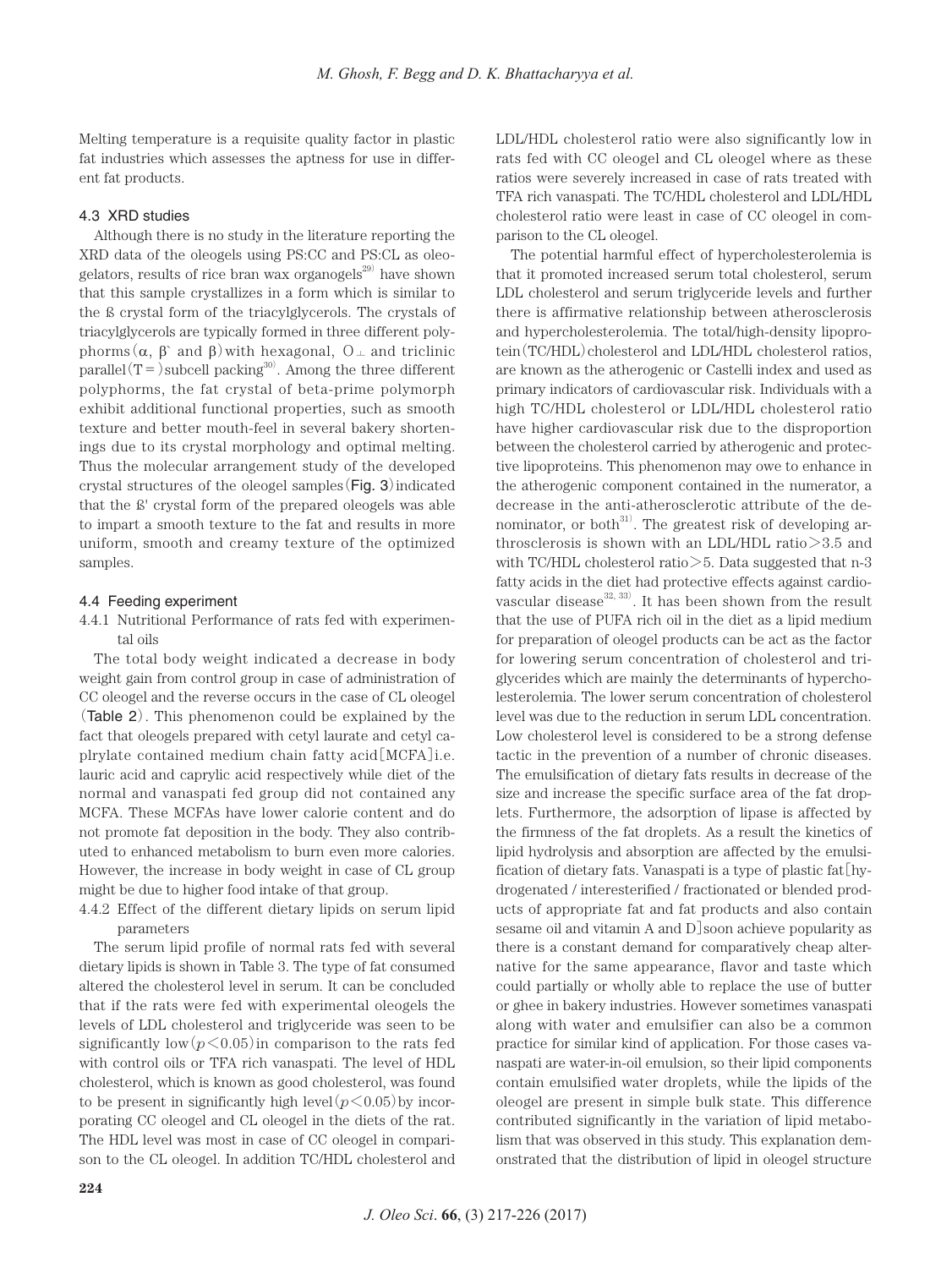Melting temperature is a requisite quality factor in plastic fat industries which assesses the aptness for use in different fat products.

## 4.3 XRD studies

Although there is no study in the literature reporting the XRD data of the oleogels using PS:CC and PS:CL as oleogelators, results of rice bran wax organogels $^{29)}$  have shown that this sample crystallizes in a form which is similar to the ß crystal form of the triacylglycerols. The crystals of triacylglycerols are typically formed in three different polyphorms( $\alpha$ ,  $\beta$  and  $\beta$ ) with hexagonal,  $0_{\perp}$  and triclinic parallel  $(T = )$  subcell packing<sup>30</sup>. Among the three different polyphorms, the fat crystal of beta-prime polymorph exhibit additional functional properties, such as smooth texture and better mouth-feel in several bakery shortenings due to its crystal morphology and optimal melting. Thus the molecular arrangement study of the developed crystal structures of the oleogel samples  $(Fig. 3)$  indicated that the ß' crystal form of the prepared oleogels was able to impart a smooth texture to the fat and results in more uniform, smooth and creamy texture of the optimized samples.

#### 4.4 Feeding experiment

4.4.1 Nutritional Performance of rats fed with experimental oils

The total body weight indicated a decrease in body weight gain from control group in case of administration of CC oleogel and the reverse occurs in the case of CL oleogel (Table 2). This phenomenon could be explained by the fact that oleogels prepared with cetyl laurate and cetyl caplrylate contained medium chain fatty acid[MCFA]i.e. lauric acid and caprylic acid respectively while diet of the normal and vanaspati fed group did not contained any MCFA. These MCFAs have lower calorie content and do not promote fat deposition in the body. They also contributed to enhanced metabolism to burn even more calories. However, the increase in body weight in case of CL group might be due to higher food intake of that group.

4.4.2 Effect of the different dietary lipids on serum lipid parameters

The serum lipid profile of normal rats fed with several dietary lipids is shown in Table 3. The type of fat consumed altered the cholesterol level in serum. It can be concluded that if the rats were fed with experimental oleogels the levels of LDL cholesterol and triglyceride was seen to be significantly low $(p<0.05)$  in comparison to the rats fed with control oils or TFA rich vanaspati. The level of HDL cholesterol, which is known as good cholesterol, was found to be present in significantly high level( $p \leq 0.05$ ) by incorporating CC oleogel and CL oleogel in the diets of the rat. The HDL level was most in case of CC oleogel in comparison to the CL oleogel. In addition TC/HDL cholesterol and LDL/HDL cholesterol ratio were also significantly low in rats fed with CC oleogel and CL oleogel where as these ratios were severely increased in case of rats treated with TFA rich vanaspati. The TC/HDL cholesterol and LDL/HDL cholesterol ratio were least in case of CC oleogel in comparison to the CL oleogel.

The potential harmful effect of hypercholesterolemia is that it promoted increased serum total cholesterol, serum LDL cholesterol and serum triglyceride levels and further there is affirmative relationship between atherosclerosis and hypercholesterolemia. The total/high-density lipoprotein(TC/HDL)cholesterol and LDL/HDL cholesterol ratios, are known as the atherogenic or Castelli index and used as primary indicators of cardiovascular risk. Individuals with a high TC/HDL cholesterol or LDL/HDL cholesterol ratio have higher cardiovascular risk due to the disproportion between the cholesterol carried by atherogenic and protective lipoproteins. This phenomenon may owe to enhance in the atherogenic component contained in the numerator, a decrease in the anti-atherosclerotic attribute of the denominator, or both $^{31}$ . The greatest risk of developing arthrosclerosis is shown with an LDL/HDL ratio $>3.5$  and with TC/HDL cholesterol ratio $>5$ . Data suggested that n-3 fatty acids in the diet had protective effects against cardiovascular disease<sup>32, 33)</sup>. It has been shown from the result that the use of PUFA rich oil in the diet as a lipid medium for preparation of oleogel products can be act as the factor for lowering serum concentration of cholesterol and triglycerides which are mainly the determinants of hypercholesterolemia. The lower serum concentration of cholesterol level was due to the reduction in serum LDL concentration. Low cholesterol level is considered to be a strong defense tactic in the prevention of a number of chronic diseases. The emulsification of dietary fats results in decrease of the size and increase the specific surface area of the fat droplets. Furthermore, the adsorption of lipase is affected by the firmness of the fat droplets. As a result the kinetics of lipid hydrolysis and absorption are affected by the emulsification of dietary fats. Vanaspati is a type of plastic  $fat[hy$ drogenated / interesterified / fractionated or blended products of appropriate fat and fat products and also contain sesame oil and vitamin A and DJsoon achieve popularity as there is a constant demand for comparatively cheap alternative for the same appearance, flavor and taste which could partially or wholly able to replace the use of butter or ghee in bakery industries. However sometimes vanaspati along with water and emulsifier can also be a common practice for similar kind of application. For those cases vanaspati are water-in-oil emulsion, so their lipid components contain emulsified water droplets, while the lipids of the oleogel are present in simple bulk state. This difference contributed significantly in the variation of lipid metabolism that was observed in this study. This explanation demonstrated that the distribution of lipid in oleogel structure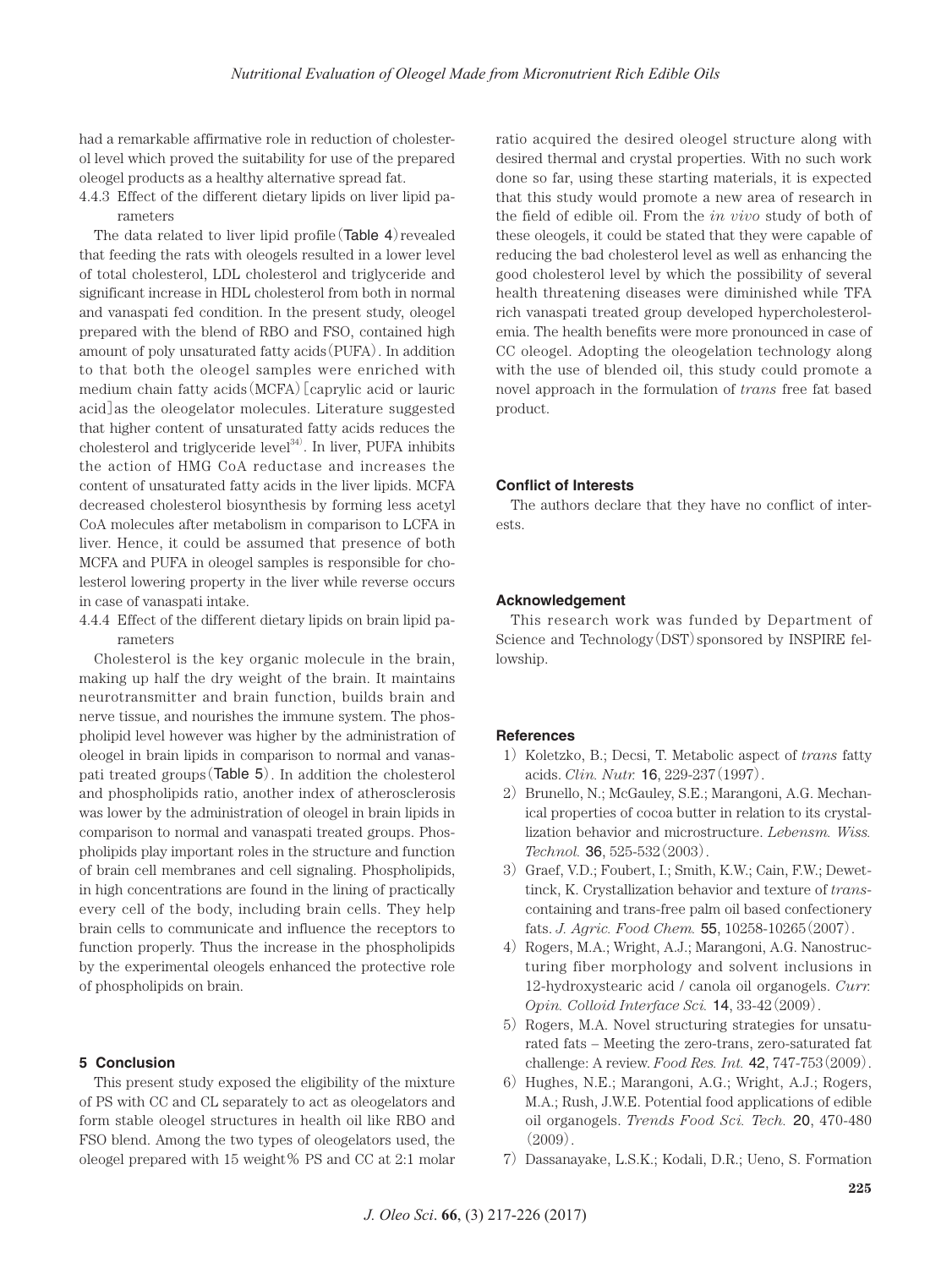had a remarkable affirmative role in reduction of cholesterol level which proved the suitability for use of the prepared oleogel products as a healthy alternative spread fat.

4.4.3 Effect of the different dietary lipids on liver lipid parameters

The data related to liver lipid profile (Table 4) revealed that feeding the rats with oleogels resulted in a lower level of total cholesterol, LDL cholesterol and triglyceride and significant increase in HDL cholesterol from both in normal and vanaspati fed condition. In the present study, oleogel prepared with the blend of RBO and FSO, contained high amount of poly unsaturated fatty acids(PUFA). In addition to that both the oleogel samples were enriched with medium chain fatty acids(MCFA)[caprylic acid or lauric acid]as the oleogelator molecules. Literature suggested that higher content of unsaturated fatty acids reduces the cholesterol and triglyceride level $34$ . In liver, PUFA inhibits the action of HMG CoA reductase and increases the content of unsaturated fatty acids in the liver lipids. MCFA decreased cholesterol biosynthesis by forming less acetyl CoA molecules after metabolism in comparison to LCFA in liver. Hence, it could be assumed that presence of both MCFA and PUFA in oleogel samples is responsible for cholesterol lowering property in the liver while reverse occurs in case of vanaspati intake.

4.4.4 Effect of the different dietary lipids on brain lipid parameters

Cholesterol is the key organic molecule in the brain, making up half the dry weight of the brain. It maintains neurotransmitter and brain function, builds brain and nerve tissue, and nourishes the immune system. The phospholipid level however was higher by the administration of oleogel in brain lipids in comparison to normal and vanaspati treated groups(Table 5). In addition the cholesterol and phospholipids ratio, another index of atherosclerosis was lower by the administration of oleogel in brain lipids in comparison to normal and vanaspati treated groups. Phospholipids play important roles in the structure and function of brain cell membranes and cell signaling. Phospholipids, in high concentrations are found in the lining of practically every cell of the body, including brain cells. They help brain cells to communicate and influence the receptors to function properly. Thus the increase in the phospholipids by the experimental oleogels enhanced the protective role of phospholipids on brain.

## **5 Conclusion**

This present study exposed the eligibility of the mixture of PS with CC and CL separately to act as oleogelators and form stable oleogel structures in health oil like RBO and FSO blend. Among the two types of oleogelators used, the oleogel prepared with 15 weight% PS and CC at 2:1 molar ratio acquired the desired oleogel structure along with desired thermal and crystal properties. With no such work done so far, using these starting materials, it is expected that this study would promote a new area of research in the field of edible oil. From the *in vivo* study of both of these oleogels, it could be stated that they were capable of reducing the bad cholesterol level as well as enhancing the good cholesterol level by which the possibility of several health threatening diseases were diminished while TFA rich vanaspati treated group developed hypercholesterolemia. The health benefits were more pronounced in case of CC oleogel. Adopting the oleogelation technology along with the use of blended oil, this study could promote a novel approach in the formulation of *trans* free fat based product.

#### **Conflict of Interests**

The authors declare that they have no conflict of interests.

#### **Acknowledgement**

This research work was funded by Department of Science and Technology(DST)sponsored by INSPIRE fellowship.

#### **References**

- 1) Koletzko, B.; Decsi, T. Metabolic aspect of *trans* fatty acids. *Clin. Nutr.* 16, 229-237(1997).
- 2) Brunello, N.; McGauley, S.E.; Marangoni, A.G. Mechanical properties of cocoa butter in relation to its crystallization behavior and microstructure. *Lebensm. Wiss. Technol.* 36, 525-532(2003).
- 3) Graef, V.D.; Foubert, I.; Smith, K.W.; Cain, F.W.; Dewettinck, K. Crystallization behavior and texture of *trans*containing and trans-free palm oil based confectionery fats. *J. Agric. Food Chem.* 55, 10258-10265(2007).
- 4) Rogers, M.A.; Wright, A.J.; Marangoni, A.G. Nanostructuring fiber morphology and solvent inclusions in 12-hydroxystearic acid / canola oil organogels. *Curr. Opin. Colloid Interface Sci.* 14, 33-42(2009).
- 5) Rogers, M.A. Novel structuring strategies for unsaturated fats – Meeting the zero-trans, zero-saturated fat challenge: A review. *Food Res. Int.* 42, 747-753(2009).
- 6) Hughes, N.E.; Marangoni, A.G.; Wright, A.J.; Rogers, M.A.; Rush, J.W.E. Potential food applications of edible oil organogels. *Trends Food Sci. Tech.* 20, 470-480  $(2009)$ .
- 7) Dassanayake, L.S.K.; Kodali, D.R.; Ueno, S. Formation